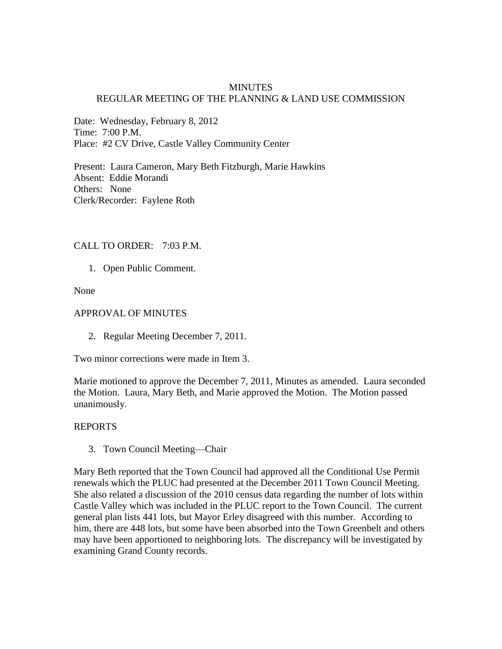## **MINUTES** REGULAR MEETING OF THE PLANNING & LAND USE COMMISSION

Date: Wednesday, February 8, 2012 Time: 7:00 P.M. Place: #2 CV Drive, Castle Valley Community Center

Present: Laura Cameron, Mary Beth Fitzburgh, Marie Hawkins Absent: Eddie Morandi Others: None Clerk/Recorder: Faylene Roth

#### CALL TO ORDER: 7:03 P.M.

1. Open Public Comment.

None

#### APPROVAL OF MINUTES

2. Regular Meeting December 7, 2011.

Two minor corrections were made in Item 3.

Marie motioned to approve the December 7, 2011, Minutes as amended. Laura seconded the Motion. Laura, Mary Beth, and Marie approved the Motion. The Motion passed unanimously.

## REPORTS

3. Town Council Meeting—Chair

Mary Beth reported that the Town Council had approved all the Conditional Use Permit renewals which the PLUC had presented at the December 2011 Town Council Meeting. She also related a discussion of the 2010 census data regarding the number of lots within Castle Valley which was included in the PLUC report to the Town Council. The current general plan lists 441 lots, but Mayor Erley disagreed with this number. According to him, there are 448 lots, but some have been absorbed into the Town Greenbelt and others may have been apportioned to neighboring lots. The discrepancy will be investigated by examining Grand County records.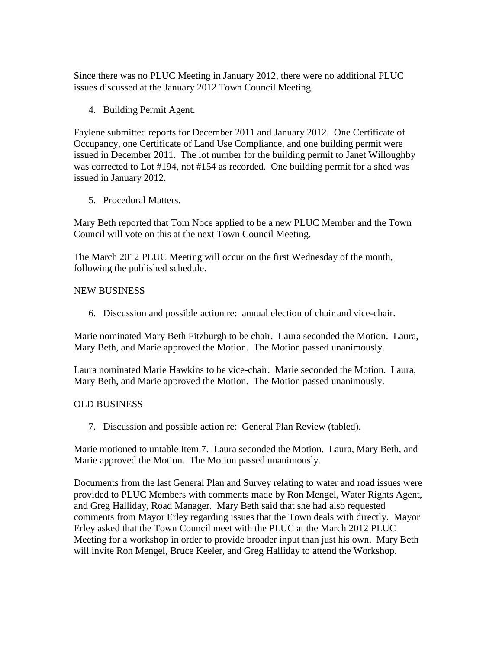Since there was no PLUC Meeting in January 2012, there were no additional PLUC issues discussed at the January 2012 Town Council Meeting.

4. Building Permit Agent.

Faylene submitted reports for December 2011 and January 2012. One Certificate of Occupancy, one Certificate of Land Use Compliance, and one building permit were issued in December 2011. The lot number for the building permit to Janet Willoughby was corrected to Lot #194, not #154 as recorded. One building permit for a shed was issued in January 2012.

5. Procedural Matters.

Mary Beth reported that Tom Noce applied to be a new PLUC Member and the Town Council will vote on this at the next Town Council Meeting.

The March 2012 PLUC Meeting will occur on the first Wednesday of the month, following the published schedule.

# NEW BUSINESS

6. Discussion and possible action re: annual election of chair and vice-chair.

Marie nominated Mary Beth Fitzburgh to be chair. Laura seconded the Motion. Laura, Mary Beth, and Marie approved the Motion. The Motion passed unanimously.

Laura nominated Marie Hawkins to be vice-chair. Marie seconded the Motion. Laura, Mary Beth, and Marie approved the Motion. The Motion passed unanimously.

# OLD BUSINESS

7. Discussion and possible action re: General Plan Review (tabled).

Marie motioned to untable Item 7. Laura seconded the Motion. Laura, Mary Beth, and Marie approved the Motion. The Motion passed unanimously.

Documents from the last General Plan and Survey relating to water and road issues were provided to PLUC Members with comments made by Ron Mengel, Water Rights Agent, and Greg Halliday, Road Manager. Mary Beth said that she had also requested comments from Mayor Erley regarding issues that the Town deals with directly. Mayor Erley asked that the Town Council meet with the PLUC at the March 2012 PLUC Meeting for a workshop in order to provide broader input than just his own. Mary Beth will invite Ron Mengel, Bruce Keeler, and Greg Halliday to attend the Workshop.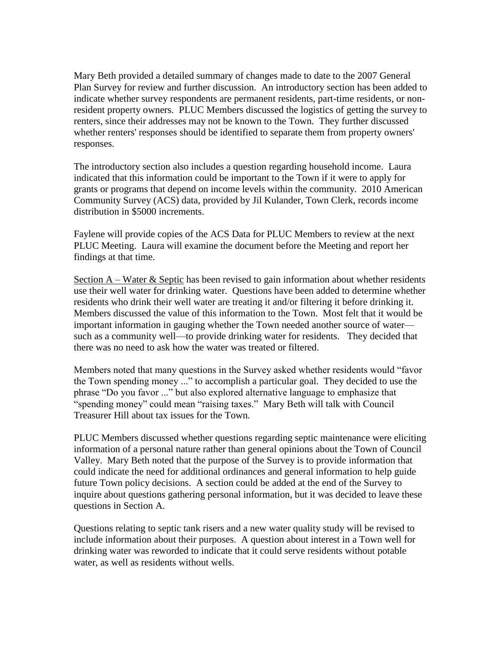Mary Beth provided a detailed summary of changes made to date to the 2007 General Plan Survey for review and further discussion. An introductory section has been added to indicate whether survey respondents are permanent residents, part-time residents, or nonresident property owners. PLUC Members discussed the logistics of getting the survey to renters, since their addresses may not be known to the Town. They further discussed whether renters' responses should be identified to separate them from property owners' responses.

The introductory section also includes a question regarding household income. Laura indicated that this information could be important to the Town if it were to apply for grants or programs that depend on income levels within the community. 2010 American Community Survey (ACS) data, provided by Jil Kulander, Town Clerk, records income distribution in \$5000 increments.

Faylene will provide copies of the ACS Data for PLUC Members to review at the next PLUC Meeting. Laura will examine the document before the Meeting and report her findings at that time.

Section  $A$  – Water & Septic has been revised to gain information about whether residents use their well water for drinking water. Questions have been added to determine whether residents who drink their well water are treating it and/or filtering it before drinking it. Members discussed the value of this information to the Town. Most felt that it would be important information in gauging whether the Town needed another source of water such as a community well—to provide drinking water for residents. They decided that there was no need to ask how the water was treated or filtered.

Members noted that many questions in the Survey asked whether residents would "favor the Town spending money ..." to accomplish a particular goal. They decided to use the phrase "Do you favor ..." but also explored alternative language to emphasize that "spending money" could mean "raising taxes." Mary Beth will talk with Council Treasurer Hill about tax issues for the Town.

PLUC Members discussed whether questions regarding septic maintenance were eliciting information of a personal nature rather than general opinions about the Town of Council Valley. Mary Beth noted that the purpose of the Survey is to provide information that could indicate the need for additional ordinances and general information to help guide future Town policy decisions. A section could be added at the end of the Survey to inquire about questions gathering personal information, but it was decided to leave these questions in Section A.

Questions relating to septic tank risers and a new water quality study will be revised to include information about their purposes. A question about interest in a Town well for drinking water was reworded to indicate that it could serve residents without potable water, as well as residents without wells.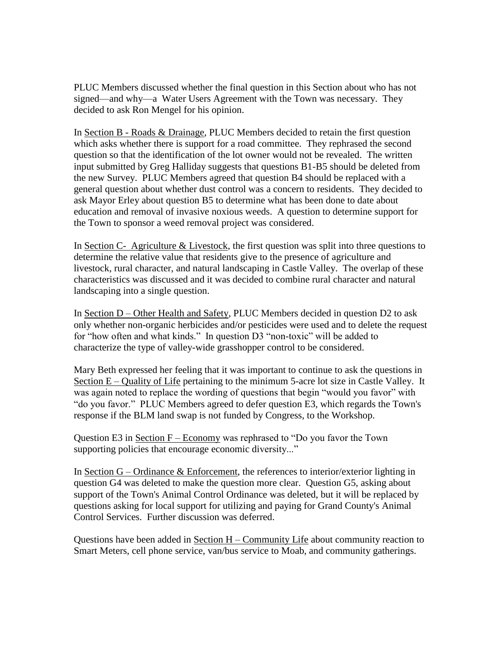PLUC Members discussed whether the final question in this Section about who has not signed—and why—a Water Users Agreement with the Town was necessary. They decided to ask Ron Mengel for his opinion.

In Section B - Roads & Drainage, PLUC Members decided to retain the first question which asks whether there is support for a road committee. They rephrased the second question so that the identification of the lot owner would not be revealed. The written input submitted by Greg Halliday suggests that questions B1-B5 should be deleted from the new Survey. PLUC Members agreed that question B4 should be replaced with a general question about whether dust control was a concern to residents. They decided to ask Mayor Erley about question B5 to determine what has been done to date about education and removal of invasive noxious weeds. A question to determine support for the Town to sponsor a weed removal project was considered.

In Section C- Agriculture & Livestock, the first question was split into three questions to determine the relative value that residents give to the presence of agriculture and livestock, rural character, and natural landscaping in Castle Valley. The overlap of these characteristics was discussed and it was decided to combine rural character and natural landscaping into a single question.

In Section D – Other Health and Safety, PLUC Members decided in question D2 to ask only whether non-organic herbicides and/or pesticides were used and to delete the request for "how often and what kinds." In question D3 "non-toxic" will be added to characterize the type of valley-wide grasshopper control to be considered.

Mary Beth expressed her feeling that it was important to continue to ask the questions in Section E – Quality of Life pertaining to the minimum 5-acre lot size in Castle Valley. It was again noted to replace the wording of questions that begin "would you favor" with "do you favor." PLUC Members agreed to defer question E3, which regards the Town's response if the BLM land swap is not funded by Congress, to the Workshop.

Question E3 in Section F – Economy was rephrased to "Do you favor the Town supporting policies that encourage economic diversity..."

In Section  $G$  – Ordinance  $\&$  Enforcement, the references to interior/exterior lighting in question G4 was deleted to make the question more clear. Question G5, asking about support of the Town's Animal Control Ordinance was deleted, but it will be replaced by questions asking for local support for utilizing and paying for Grand County's Animal Control Services. Further discussion was deferred.

Questions have been added in Section H – Community Life about community reaction to Smart Meters, cell phone service, van/bus service to Moab, and community gatherings.